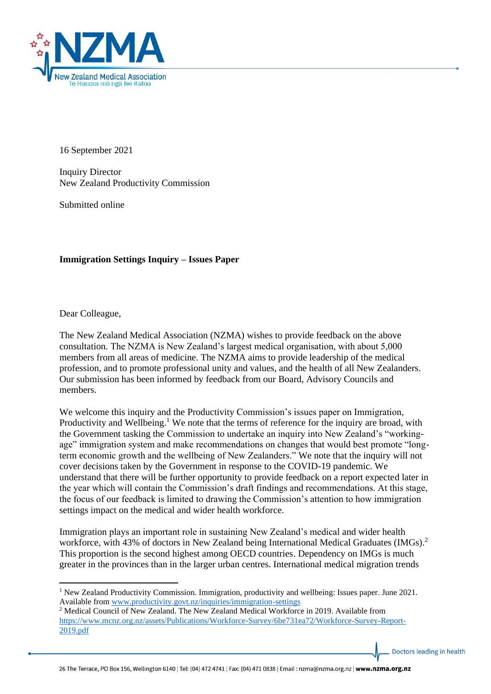

16 September 2021

Inquiry Director New Zealand Productivity Commission

Submitted online

## **Immigration Settings Inquiry – Issues Paper**

Dear Colleague,

The New Zealand Medical Association (NZMA) wishes to provide feedback on the above consultation. The NZMA is New Zealand's largest medical organisation, with about 5,000 members from all areas of medicine. The NZMA aims to provide leadership of the medical profession, and to promote professional unity and values, and the health of all New Zealanders. Our submission has been informed by feedback from our Board, Advisory Councils and members.

We welcome this inquiry and the Productivity Commission's issues paper on Immigration, Productivity and Wellbeing.<sup>1</sup> We note that the terms of reference for the inquiry are broad, with the Government tasking the Commission to undertake an inquiry into New Zealand's "workingage" immigration system and make recommendations on changes that would best promote "longterm economic growth and the wellbeing of New Zealanders." We note that the inquiry will not cover decisions taken by the Government in response to the COVID-19 pandemic. We understand that there will be further opportunity to provide feedback on a report expected later in the year which will contain the Commission's draft findings and recommendations. At this stage, the focus of our feedback is limited to drawing the Commission's attention to how immigration settings impact on the medical and wider health workforce.

Immigration plays an important role in sustaining New Zealand's medical and wider health workforce, with 43% of doctors in New Zealand being International Medical Graduates (IMGs).<sup>2</sup> This proportion is the second highest among OECD countries. Dependency on IMGs is much greater in the provinces than in the larger urban centres. International medical migration trends

<sup>&</sup>lt;sup>1</sup> New Zealand Productivity Commission. Immigration, productivity and wellbeing: Issues paper. June 2021. Available from [www.productivity.govt.nz/inquiries/immigration-settings](http://www.productivity.govt.nz/inquiries/immigration-settings)

<sup>2</sup> Medical Council of New Zealand. The New Zealand Medical Workforce in 2019. Available from [https://www.mcnz.org.nz/assets/Publications/Workforce-Survey/6be731ea72/Workforce-Survey-Report-](https://www.mcnz.org.nz/assets/Publications/Workforce-Survey/6be731ea72/Workforce-Survey-Report-2019.pdf)[2019.pdf](https://www.mcnz.org.nz/assets/Publications/Workforce-Survey/6be731ea72/Workforce-Survey-Report-2019.pdf)